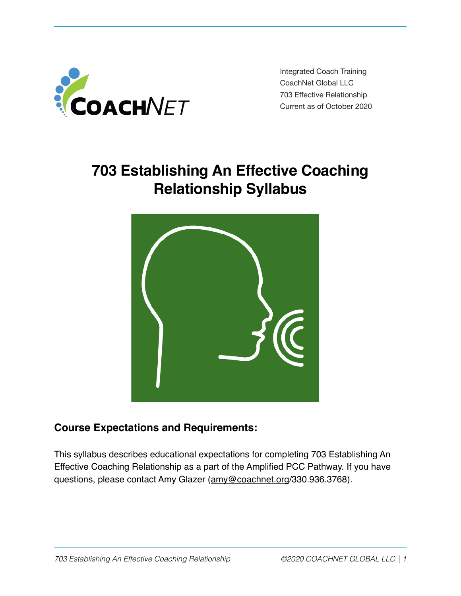

Integrated Coach Training CoachNet Global LLC 703 Effective Relationship Current as of October 2020

# **703 Establishing An Effective Coaching Relationship Syllabus**



## **Course Expectations and Requirements:**

This syllabus describes educational expectations for completing 703 Establishing An Effective Coaching Relationship as a part of the Amplified PCC Pathway. If you have questions, please contact Amy Glazer [\(amy@coachnet.org](mailto:amy@coachnet.org)/330.936.3768).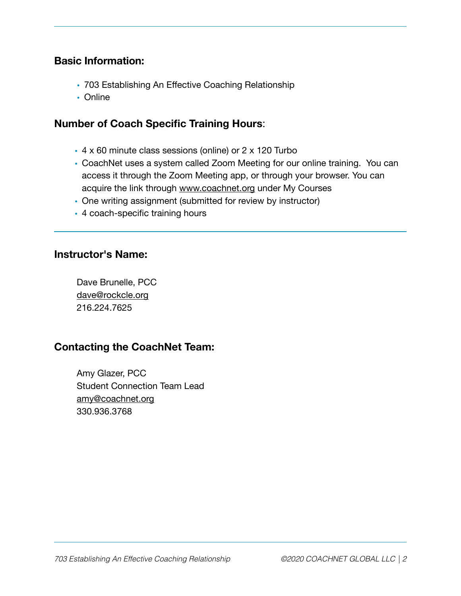#### **Basic Information:**

- 703 Establishing An Effective Coaching Relationship
- Online

#### **Number of Coach Specific Training Hours**:

- 4 x 60 minute class sessions (online) or 2 x 120 Turbo
- CoachNet uses a system called Zoom Meeting for our online training. You can access it through the Zoom Meeting app, or through your browser. You can acquire the link through [www.coachnet.org](http://www.coachnet.org) under My Courses
- One writing assignment (submitted for review by instructor)
- 4 coach-specific training hours

#### **Instructor's Name:**

Dave Brunelle, PCC [dave@rockcle.org](mailto:dave@rockcle.org) 216.224.7625

#### **Contacting the CoachNet Team:**

Amy Glazer, PCC Student Connection Team Lead [amy@coachnet.org](mailto:amy@coachnet.org) 330.936.3768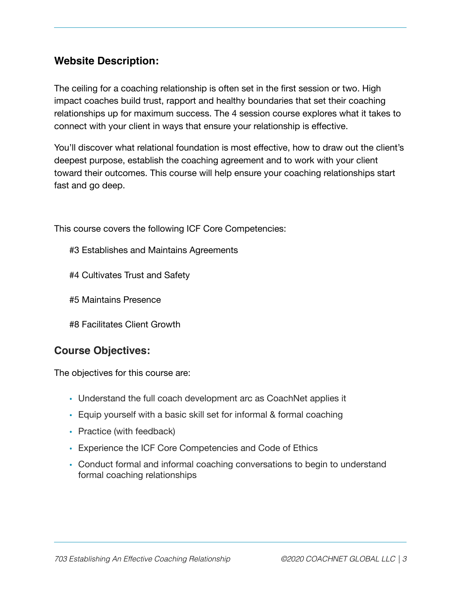## **Website Description:**

The ceiling for a coaching relationship is often set in the first session or two. High impact coaches build trust, rapport and healthy boundaries that set their coaching relationships up for maximum success. The 4 session course explores what it takes to connect with your client in ways that ensure your relationship is effective.

You'll discover what relational foundation is most effective, how to draw out the client's deepest purpose, establish the coaching agreement and to work with your client toward their outcomes. This course will help ensure your coaching relationships start fast and go deep.

This course covers the following ICF Core Competencies:

- #3 Establishes and Maintains Agreements
- #4 Cultivates Trust and Safety
- #5 Maintains Presence
- #8 Facilitates Client Growth

#### **Course Objectives:**

The objectives for this course are:

- Understand the full coach development arc as CoachNet applies it
- Equip yourself with a basic skill set for informal & formal coaching
- Practice (with feedback)
- Experience the ICF Core Competencies and Code of Ethics
- Conduct formal and informal coaching conversations to begin to understand formal coaching relationships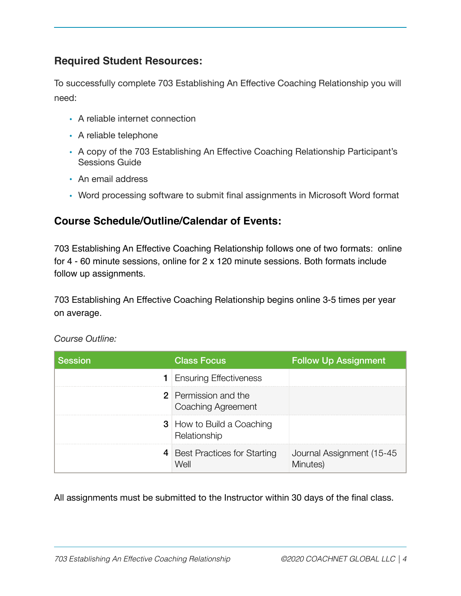## **Required Student Resources:**

To successfully complete 703 Establishing An Effective Coaching Relationship you will need:

- A reliable internet connection
- A reliable telephone
- A copy of the 703 Establishing An Effective Coaching Relationship Participant's Sessions Guide
- An email address
- Word processing software to submit final assignments in Microsoft Word format

## **Course Schedule/Outline/Calendar of Events:**

703 Establishing An Effective Coaching Relationship follows one of two formats: online for 4 - 60 minute sessions, online for 2 x 120 minute sessions. Both formats include follow up assignments.

703 Establishing An Effective Coaching Relationship begins online 3-5 times per year on average.

| <b>Session</b> | <b>Class Focus</b>                                | <b>Follow Up Assignment</b>           |
|----------------|---------------------------------------------------|---------------------------------------|
|                | <b>1</b> Ensuring Effectiveness                   |                                       |
|                | <b>2</b> Permission and the<br>Coaching Agreement |                                       |
|                | <b>3</b> How to Build a Coaching<br>Relationship  |                                       |
|                | 4 Best Practices for Starting<br>Well             | Journal Assignment (15-45<br>Minutes) |

*Course Outline:* 

All assignments must be submitted to the Instructor within 30 days of the final class.